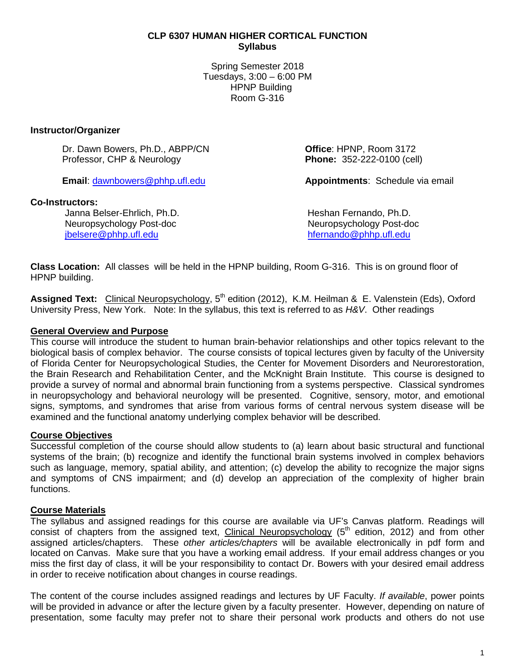### **CLP 6307 HUMAN HIGHER CORTICAL FUNCTION Syllabus**

Spring Semester 2018 Tuesdays, 3:00 – 6:00 PM HPNP Building Room G-316

### **Instructor/Organizer**

Dr. Dawn Bowers, Ph.D., ABPP/CN **Office**: HPNP, Room 3172 Professor, CHP & Neurology

### **Co-Instructors:**

Janna Belser-Ehrlich, Ph.D.<br>
Neuropsychology Post-doc<br>
Neuropsychology Post-doc Neuropsychology Post-doc<br>ibelsere@phhp.ufl.edu

**Email**: [dawnbowers@phhp.ufl.edu](mailto:dawnbowers@phhp.ufl.edu) **Appointments**: Schedule via email

[hfernando@phhp.ufl.edu](mailto:hfernando@phhp.ufl.edu)

**Class Location:** All classes will be held in the HPNP building, Room G-316. This is on ground floor of HPNP building.

Assigned Text: Clinical Neuropsychology, 5<sup>th</sup> edition (2012), K.M. Heilman & E. Valenstein (Eds), Oxford University Press, New York. Note: In the syllabus, this text is referred to as *H&V*. Other readings

## **General Overview and Purpose**

This course will introduce the student to human brain-behavior relationships and other topics relevant to the biological basis of complex behavior. The course consists of topical lectures given by faculty of the University of Florida Center for Neuropsychological Studies, the Center for Movement Disorders and Neurorestoration, the Brain Research and Rehabilitation Center, and the McKnight Brain Institute. This course is designed to provide a survey of normal and abnormal brain functioning from a systems perspective. Classical syndromes in neuropsychology and behavioral neurology will be presented. Cognitive, sensory, motor, and emotional signs, symptoms, and syndromes that arise from various forms of central nervous system disease will be examined and the functional anatomy underlying complex behavior will be described.

## **Course Objectives**

Successful completion of the course should allow students to (a) learn about basic structural and functional systems of the brain; (b) recognize and identify the functional brain systems involved in complex behaviors such as language, memory, spatial ability, and attention; (c) develop the ability to recognize the major signs and symptoms of CNS impairment; and (d) develop an appreciation of the complexity of higher brain functions.

## **Course Materials**

The syllabus and assigned readings for this course are available via UF's Canvas platform. Readings will consist of chapters from the assigned text, Clinical Neuropsychology  $(5<sup>th</sup>$  edition, 2012) and from other assigned articles/chapters. These *other articles/chapters* will be available electronically in pdf form and located on Canvas. Make sure that you have a working email address. If your email address changes or you miss the first day of class, it will be your responsibility to contact Dr. Bowers with your desired email address in order to receive notification about changes in course readings.

The content of the course includes assigned readings and lectures by UF Faculty. *If available*, power points will be provided in advance or after the lecture given by a faculty presenter. However, depending on nature of presentation, some faculty may prefer not to share their personal work products and others do not use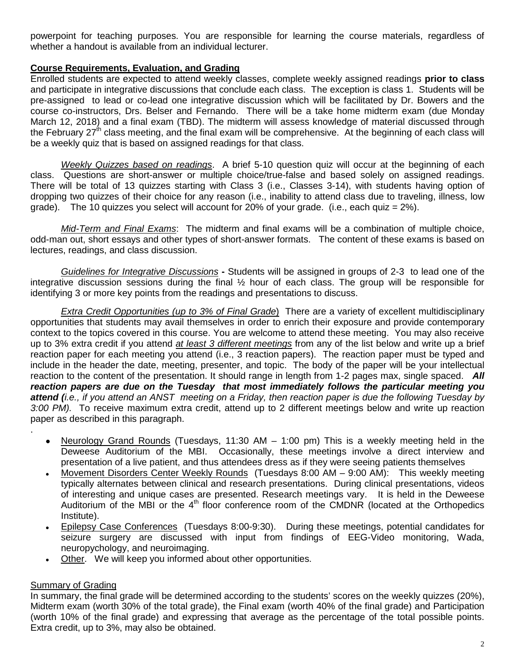powerpoint for teaching purposes. You are responsible for learning the course materials, regardless of whether a handout is available from an individual lecturer.

## **Course Requirements, Evaluation, and Grading**

Enrolled students are expected to attend weekly classes, complete weekly assigned readings **prior to class** and participate in integrative discussions that conclude each class. The exception is class 1. Students will be pre-assigned to lead or co-lead one integrative discussion which will be facilitated by Dr. Bowers and the course co-instructors, Drs. Belser and Fernando. There will be a take home midterm exam (due Monday March 12, 2018) and a final exam (TBD). The midterm will assess knowledge of material discussed through the February  $27<sup>th</sup>$  class meeting, and the final exam will be comprehensive. At the beginning of each class will be a weekly quiz that is based on assigned readings for that class.

*Weekly Quizzes based on readings*. A brief 5-10 question quiz will occur at the beginning of each class. Questions are short-answer or multiple choice/true-false and based solely on assigned readings. There will be total of 13 quizzes starting with Class 3 (i.e., Classes 3-14), with students having option of dropping two quizzes of their choice for any reason (i.e., inability to attend class due to traveling, illness, low grade). The 10 quizzes you select will account for 20% of your grade. (i.e., each quiz  $= 2\%$ ).

*Mid-Term and Final Exams*: The midterm and final exams will be a combination of multiple choice, odd-man out, short essays and other types of short-answer formats. The content of these exams is based on lectures, readings, and class discussion.

*Guidelines for Integrative Discussions* **-** Students will be assigned in groups of 2-3 to lead one of the integrative discussion sessions during the final  $\frac{1}{2}$  hour of each class. The group will be responsible for identifying 3 or more key points from the readings and presentations to discuss.

*Extra Credit Opportunities (up to 3% of Final Grade*) There are a variety of excellent multidisciplinary opportunities that students may avail themselves in order to enrich their exposure and provide contemporary context to the topics covered in this course. You are welcome to attend these meeting. You may also receive up to 3% extra credit if you attend *at least 3 different meetings* from any of the list below and write up a brief reaction paper for each meeting you attend (i.e., 3 reaction papers). The reaction paper must be typed and include in the header the date, meeting, presenter, and topic. The body of the paper will be your intellectual reaction to the content of the presentation. It should range in length from 1-2 pages max, single spaced. *All reaction papers are due on the Tuesday that most immediately follows the particular meeting you attend (i.e., if you attend an ANST meeting on a Friday, then reaction paper is due the following Tuesday by 3:00 PM).* To receive maximum extra credit, attend up to 2 different meetings below and write up reaction paper as described in this paragraph.

- Neurology Grand Rounds (Tuesdays, 11:30 AM 1:00 pm) This is a weekly meeting held in the Deweese Auditorium of the MBI. Occasionally, these meetings involve a direct interview and presentation of a live patient, and thus attendees dress as if they were seeing patients themselves
- Movement Disorders Center Weekly Rounds (Tuesdays 8:00 AM 9:00 AM): This weekly meeting typically alternates between clinical and research presentations. During clinical presentations, videos of interesting and unique cases are presented. Research meetings vary. It is held in the Deweese Auditorium of the MBI or the 4<sup>th</sup> floor conference room of the CMDNR (located at the Orthopedics Institute).
- Epilepsy Case Conferences (Tuesdays 8:00-9:30). During these meetings, potential candidates for seizure surgery are discussed with input from findings of EEG-Video monitoring, Wada, neuropychology, and neuroimaging.
- Other. We will keep you informed about other opportunities.

## **Summary of Grading**

.

In summary, the final grade will be determined according to the students' scores on the weekly quizzes (20%), Midterm exam (worth 30% of the total grade), the Final exam (worth 40% of the final grade) and Participation (worth 10% of the final grade) and expressing that average as the percentage of the total possible points. Extra credit, up to 3%, may also be obtained.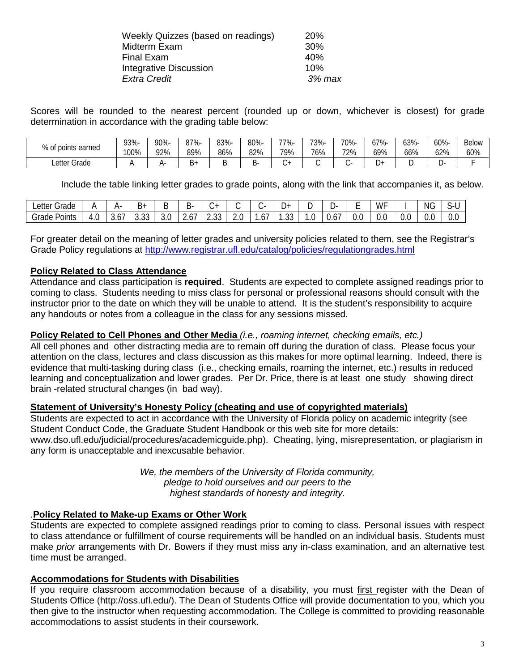| Weekly Quizzes (based on readings) | <b>20%</b> |
|------------------------------------|------------|
| Midterm Exam                       | 30%        |
| <b>Final Exam</b>                  | 40%        |
| <b>Integrative Discussion</b>      | 10%        |
| <b>Extra Credit</b>                | 3% max     |
|                                    |            |

Scores will be rounded to the nearest percent (rounded up or down, whichever is closest) for grade determination in accordance with the grading table below:

| % of points<br>earned | 93%-<br>100% | $90% -$<br>92% | 87%-<br>89% | 83%-<br>86% | 80%-<br>82% | -77%<br>79% | 73%-<br>76% | 70%-<br>72% | 7%-<br>υ,<br>69% | 63%-<br>66% | 60%-<br>62% | <b>Below</b><br>60% |
|-----------------------|--------------|----------------|-------------|-------------|-------------|-------------|-------------|-------------|------------------|-------------|-------------|---------------------|
| Letter Grade          |              | ,              | ∼ ∺<br>ັ    |             |             |             |             |             |                  |             |             |                     |

Include the table linking letter grades to grade points, along with the link that accompanies it, as below.

| $\sim$<br>Letter '<br>Grade |                      | д.   | $\cdot$ $\cdot$<br>D+ | ┕        | D-         | $\overline{ }$               |             |            | ⊥ ⊢           |       | -ت       | -<br>- | WF  |               | $\sim$<br>NG. | `-       |
|-----------------------------|----------------------|------|-----------------------|----------|------------|------------------------------|-------------|------------|---------------|-------|----------|--------|-----|---------------|---------------|----------|
| Grade<br>Points             | 4<br>$\cdot$ $\circ$ | ັບເບ | $\sim$<br>ບ.ບບ        | ◠<br>J.V | . –<br>، ب | $\cap$<br>$\sim$<br><u>_</u> | $\sim$<br>v | . .<br>.67 | $\sim$<br>. ن | . . U | -<br>U.O | U.L    | ∪.∪ | $\sim$<br>v.u | v.J           | ∽<br>v.v |

For greater detail on the meaning of letter grades and university policies related to them, see the Registrar's Grade Policy regulations at<http://www.registrar.ufl.edu/catalog/policies/regulationgrades.html>

### **Policy Related to Class Attendance**

Attendance and class participation is **required**. Students are expected to complete assigned readings prior to coming to class. Students needing to miss class for personal or professional reasons should consult with the instructor prior to the date on which they will be unable to attend. It is the student's responsibility to acquire any handouts or notes from a colleague in the class for any sessions missed.

### **Policy Related to Cell Phones and Other Media** *(i.e., roaming internet, checking emails, etc.)*

All cell phones and other distracting media are to remain off during the duration of class. Please focus your attention on the class, lectures and class discussion as this makes for more optimal learning. Indeed, there is evidence that multi-tasking during class (i.e., checking emails, roaming the internet, etc.) results in reduced learning and conceptualization and lower grades. Per Dr. Price, there is at least one study showing direct brain -related structural changes (in bad way).

## **Statement of University's Honesty Policy (cheating and use of copyrighted materials)**

Students are expected to act in accordance with the University of Florida policy on academic integrity (see Student Conduct Code, the Graduate Student Handbook or this web site for more details: www.dso.ufl.edu/judicial/procedures/academicguide.php). Cheating, lying, misrepresentation, or plagiarism in any form is unacceptable and inexcusable behavior.

> *We, the members of the University of Florida community, pledge to hold ourselves and our peers to the highest standards of honesty and integrity.*

#### .**Policy Related to Make-up Exams or Other Work**

Students are expected to complete assigned readings prior to coming to class. Personal issues with respect to class attendance or fulfillment of course requirements will be handled on an individual basis. Students must make *prior* arrangements with Dr. Bowers if they must miss any in-class examination, and an alternative test time must be arranged.

#### **Accommodations for Students with Disabilities**

If you require classroom accommodation because of a disability, you must first register with the Dean of Students Office (http://oss.ufl.edu/). The Dean of Students Office will provide documentation to you, which you then give to the instructor when requesting accommodation. The College is committed to providing reasonable accommodations to assist students in their coursework.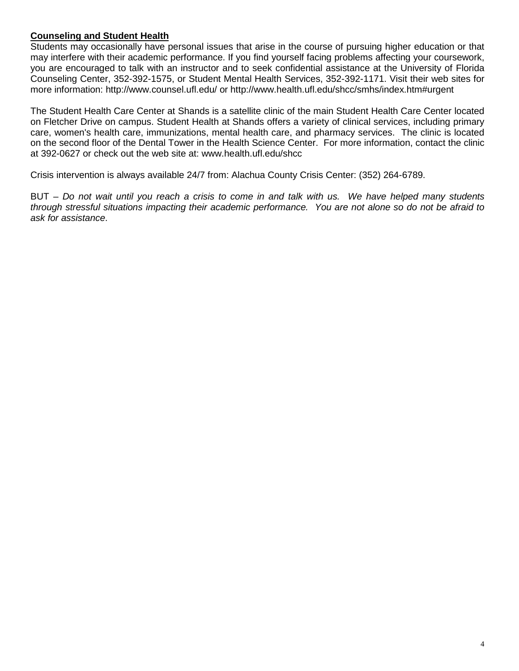## **Counseling and Student Health**

Students may occasionally have personal issues that arise in the course of pursuing higher education or that may interfere with their academic performance. If you find yourself facing problems affecting your coursework, you are encouraged to talk with an instructor and to seek confidential assistance at the University of Florida Counseling Center, 352-392-1575, or Student Mental Health Services, 352-392-1171. Visit their web sites for more information: http://www.counsel.ufl.edu/ or http://www.health.ufl.edu/shcc/smhs/index.htm#urgent

The Student Health Care Center at Shands is a satellite clinic of the main Student Health Care Center located on Fletcher Drive on campus. Student Health at Shands offers a variety of clinical services, including primary care, women's health care, immunizations, mental health care, and pharmacy services. The clinic is located on the second floor of the Dental Tower in the Health Science Center. For more information, contact the clinic at 392-0627 or check out the web site at: www.health.ufl.edu/shcc

Crisis intervention is always available 24/7 from: Alachua County Crisis Center: (352) 264-6789.

BUT – *Do not wait until you reach a crisis to come in and talk with us. We have helped many students through stressful situations impacting their academic performance. You are not alone so do not be afraid to ask for assistance*.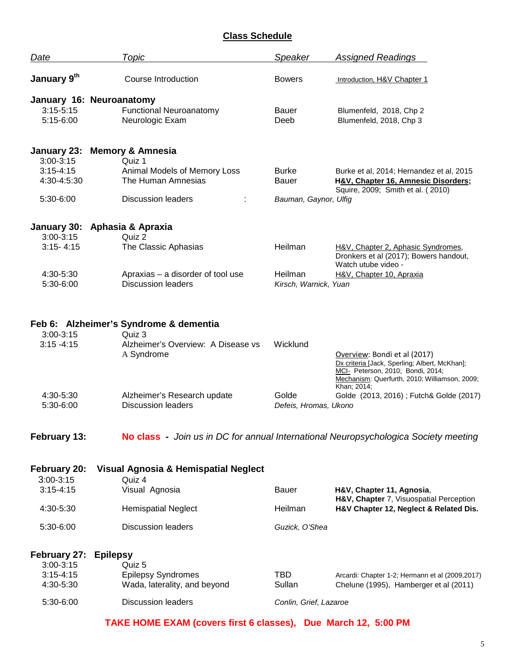# **Class Schedule**

| Date                                                        | Topic                                                                                                                     | Speaker                                        | <b>Assigned Readings</b>                                                                                                                                            |  |  |  |  |
|-------------------------------------------------------------|---------------------------------------------------------------------------------------------------------------------------|------------------------------------------------|---------------------------------------------------------------------------------------------------------------------------------------------------------------------|--|--|--|--|
| January 9th                                                 | <b>Course Introduction</b>                                                                                                | <b>Bowers</b>                                  | Introduction, H&V Chapter 1                                                                                                                                         |  |  |  |  |
| $3:15 - 5:15$<br>5:15-6:00                                  | January 16: Neuroanatomy<br><b>Functional Neuroanatomy</b><br>Neurologic Exam                                             | <b>Bauer</b><br>Deeb                           | Blumenfeld, 2018, Chp 2<br>Blumenfeld, 2018, Chp 3                                                                                                                  |  |  |  |  |
| 3:00-3:15<br>$3:15 - 4:15$<br>4:30-4:5:30<br>5:30-6:00      | January 23: Memory & Amnesia<br>Quiz 1<br>Animal Models of Memory Loss<br>The Human Amnesias<br><b>Discussion leaders</b> | <b>Burke</b><br>Bauer<br>Bauman, Gaynor, Ulfig | Burke et al, 2014; Hernandez et al, 2015<br>H&V, Chapter 16, Amnesic Disorders;<br>Squire, 2009; Smith et al. (2010)                                                |  |  |  |  |
| $3:00-3:15$                                                 | January 30: Aphasia & Apraxia<br>Quiz 2                                                                                   |                                                |                                                                                                                                                                     |  |  |  |  |
| $3:15 - 4:15$                                               | The Classic Aphasias                                                                                                      | Heilman                                        | H&V, Chapter 2, Aphasic Syndromes,<br>Dronkers et al (2017); Bowers handout,                                                                                        |  |  |  |  |
| 4:30-5:30<br>5:30-6:00                                      | Apraxias - a disorder of tool use<br><b>Discussion leaders</b>                                                            | Heilman<br>Kirsch, Warnick, Yuan               | Watch utube video -<br>H&V, Chapter 10, Apraxia                                                                                                                     |  |  |  |  |
| $3:00 - 3:15$<br>$3:15 - 4:15$                              | Feb 6: Alzheimer's Syndrome & dementia<br>Quiz 3<br>Alzheimer's Overview: A Disease vs<br>A Syndrome                      | Wicklund                                       | Overview: Bondi et al (2017)<br>Dx criteria [Jack, Sperling; Albert, McKhan];<br>MCI- Peterson, 2010; Bondi, 2014;<br>Mechanism: Querfurth, 2010; Williamson, 2009; |  |  |  |  |
| 4:30-5:30<br>5:30-6:00                                      | Alzheimer's Research update<br><b>Discussion leaders</b>                                                                  | Golde<br>Defeis, Hromas, Ukono                 | Khan; 2014;<br>Golde (2013, 2016); Futch& Golde (2017)                                                                                                              |  |  |  |  |
| February 13:                                                |                                                                                                                           |                                                | No class - Join us in DC for annual International Neuropsychologica Society meeting                                                                                 |  |  |  |  |
| February 20:<br>$3:00 - 3:15$                               | Visual Agnosia & Hemispatial Neglect<br>Quiz 4                                                                            |                                                |                                                                                                                                                                     |  |  |  |  |
| $3:15 - 4:15$<br>4:30-5:30                                  | Visual Agnosia<br><b>Hemispatial Neglect</b>                                                                              | Bauer<br>Heilman                               | H&V, Chapter 11, Agnosia,<br>H&V, Chapter 7, Visuospatial Perception<br>H&V Chapter 12, Neglect & Related Dis.                                                      |  |  |  |  |
| 5:30-6:00                                                   | <b>Discussion leaders</b>                                                                                                 | Guzick, O'Shea                                 |                                                                                                                                                                     |  |  |  |  |
| February 27:<br>$3:00 - 3:15$<br>$3:15 - 4:15$<br>4:30-5:30 | <b>Epilepsy</b><br>Quiz 5<br><b>Epilepsy Syndromes</b><br>Wada, laterality, and beyond                                    | TBD<br>Sullan                                  | Arcardi: Chapter 1-2; Hermann et al (2009,2017)<br>Chelune (1995), Hamberger et al (2011)                                                                           |  |  |  |  |
| 5:30-6:00                                                   | <b>Discussion leaders</b>                                                                                                 | Conlin, Grief, Lazaroe                         |                                                                                                                                                                     |  |  |  |  |

**TAKE HOME EXAM (covers first 6 classes), Due March 12, 5:00 PM**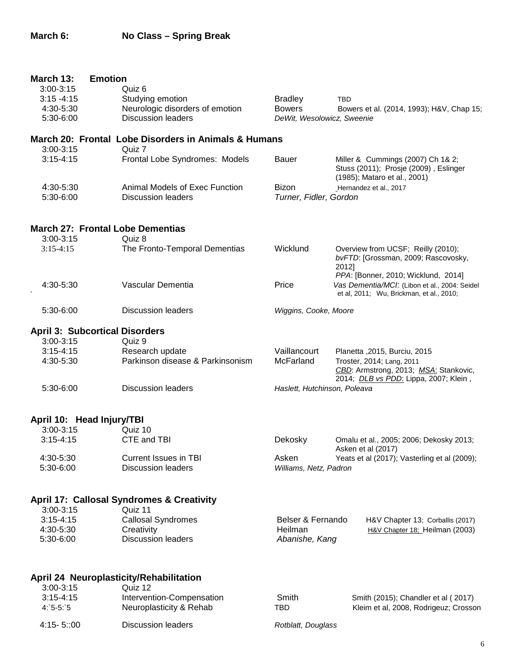| March 13:     | <b>Emotion</b>                                       |                              |                                                                                                                           |
|---------------|------------------------------------------------------|------------------------------|---------------------------------------------------------------------------------------------------------------------------|
| 3:00-3:15     | Quiz 6                                               |                              |                                                                                                                           |
| $3:15 - 4:15$ | Studying emotion                                     | <b>Bradley</b>               | <b>TBD</b>                                                                                                                |
| 4:30-5:30     | Neurologic disorders of emotion                      | <b>Bowers</b>                | Bowers et al. (2014, 1993); H&V, Chap 15;                                                                                 |
| 5:30-6:00     | <b>Discussion leaders</b>                            | DeWit, Wesolowicz, Sweenie   |                                                                                                                           |
|               | March 20: Frontal Lobe Disorders in Animals & Humans |                              |                                                                                                                           |
| $3:00-3:15$   | Quiz 7                                               |                              |                                                                                                                           |
| $3:15 - 4:15$ | Frontal Lobe Syndromes: Models                       | <b>Bauer</b>                 | Miller & Cummings (2007) Ch 1& 2;<br>Stuss (2011); Prosje (2009), Eslinger<br>(1985); Mataro et al., 2001)                |
| 4:30-5:30     | Animal Models of Exec Function                       | <b>Bizon</b>                 | Hernandez et al., 2017                                                                                                    |
| 5:30-6:00     | <b>Discussion leaders</b>                            | Turner, Fidler, Gordon       |                                                                                                                           |
|               | <b>March 27: Frontal Lobe Dementias</b>              |                              |                                                                                                                           |
| $3:00-3:15$   | Quiz 8                                               |                              |                                                                                                                           |
| $3:15-4:15$   | The Fronto-Temporal Dementias                        | Wicklund                     | Overview from UCSF; Reilly (2010);<br>bvFTD: [Grossman, 2009; Rascovosky,<br>2012]<br>PPA: [Bonner, 2010; Wicklund, 2014] |
| 4:30-5:30     | Vascular Dementia                                    | Price                        | Vas Dementia/MCI: (Libon et al., 2004: Seidel<br>et al, 2011; Wu, Brickman, et al., 2010;                                 |
| 5:30-6:00     | <b>Discussion leaders</b>                            | Wiggins, Cooke, Moore        |                                                                                                                           |
|               | <b>April 3: Subcortical Disorders</b>                |                              |                                                                                                                           |
| $3:00-3:15$   | Quiz 9                                               |                              |                                                                                                                           |
| $3:15 - 4:15$ | Research update                                      | Vaillancourt                 | Planetta , 2015, Burciu, 2015                                                                                             |
| 4:30-5:30     | Parkinson disease & Parkinsonism                     | McFarland                    | Troster, 2014; Lang, 2011<br>CBD: Armstrong, 2013; MSA: Stankovic,<br>2014; <i>DLB vs PDD</i> : Lippa, 2007; Klein,       |
| 5:30-6:00     | <b>Discussion leaders</b>                            | Haslett, Hutchinson, Poleava |                                                                                                                           |
|               | April 10: Head Injury/TBI                            |                              |                                                                                                                           |
| $3:00 - 3:15$ | Quiz 10                                              |                              |                                                                                                                           |
| $3:15 - 4:15$ | CTE and TBI                                          | Dekosky                      | Omalu et al., 2005; 2006; Dekosky 2013;<br>Asken et al (2017)                                                             |
| 4:30-5:30     | <b>Current Issues in TBI</b>                         | Asken                        | Yeats et al (2017); Vasterling et al (2009);                                                                              |
| 5:30-6:00     | <b>Discussion leaders</b>                            | Williams, Netz, Padron       |                                                                                                                           |
|               | <b>April 17: Callosal Syndromes &amp; Creativity</b> |                              |                                                                                                                           |
| $3:00-3:15$   | Quiz 11                                              |                              |                                                                                                                           |
| $3:15 - 4:15$ | <b>Callosal Syndromes</b>                            | Belser & Fernando            | H&V Chapter 13; Corballis (2017)                                                                                          |
| 4:30-5:30     | Creativity                                           | Heilman                      | H&V Chapter 18; Heilman (2003)                                                                                            |
| 5:30-6:00     | <b>Discussion leaders</b>                            | Abanishe, Kang               |                                                                                                                           |
|               | April 24 Neuroplasticity/Rehabilitation              |                              |                                                                                                                           |
| $3:00 - 3:15$ | Quiz 12                                              |                              |                                                                                                                           |
| $3:15 - 4:15$ | Intervention-Compensation                            | Smith                        | Smith (2015); Chandler et al (2017)                                                                                       |
| $4:5-5:5$     | Neuroplasticity & Rehab                              | <b>TBD</b>                   | Kleim et al, 2008, Rodrigeuz; Crosson                                                                                     |
| 4:15-5::00    | <b>Discussion leaders</b>                            | Rotblatt, Douglass           |                                                                                                                           |